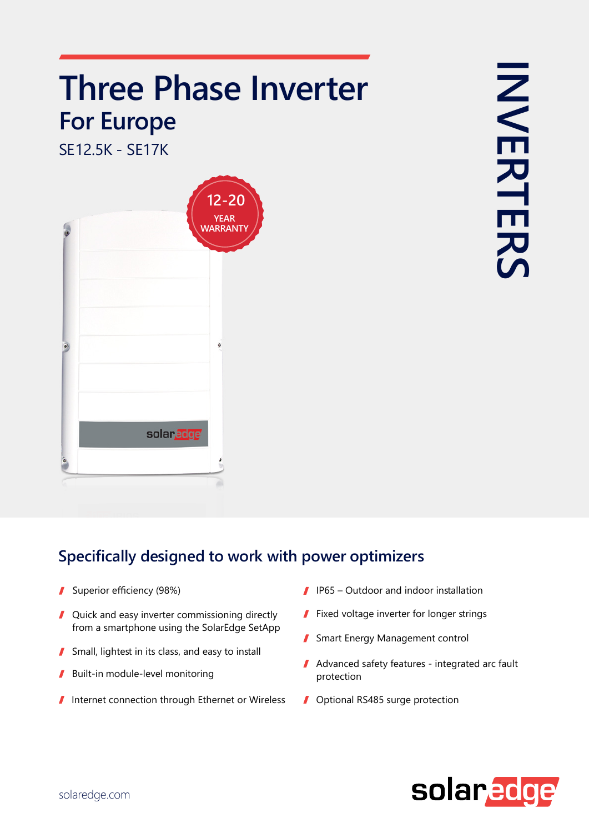## **Three Phase Inverter Europe For**

SF12 5K - SF17K



## **Specifically designed to work with power optimizers**

- Superior efficiency (98%)  $\mathbf{r}$
- Quick and easy inverter commissioning directly I from a smartphone using the SolarEdge SetApp
- Small, lightest in its class, and easy to install I
- Built-in module-level monitoring I
- $\blacksquare$  Internet connection through Ethernet or Wireless
- $\blacksquare$  IP65 Outdoor and indoor installation
- $\blacksquare$  Fixed voltage inverter for longer strings
- Smart Energy Management control
- $\blacksquare$  Advanced safety features integrated arc fault protection
- Optional RS485 surge protection